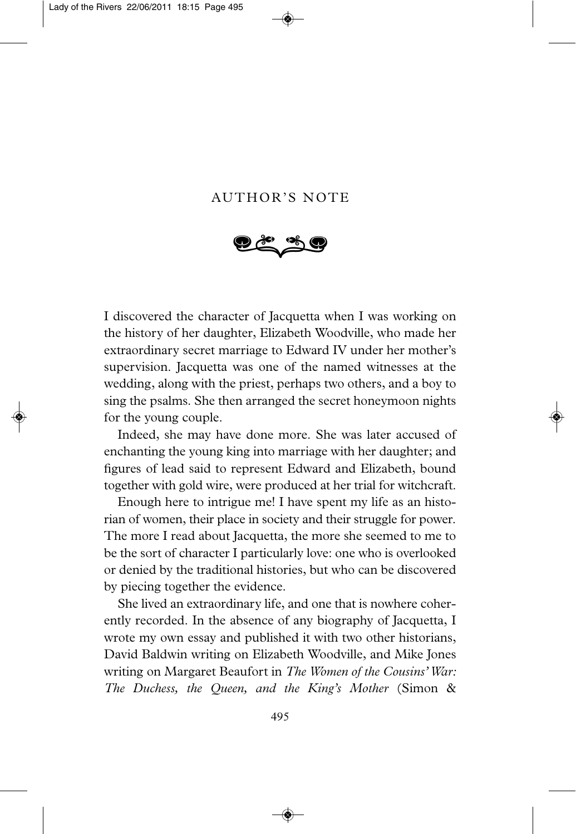## AUTHOR'S NOTE



I discovered the character of Jacquetta when I was working on the history of her daughter, Elizabeth Woodville, who made her extraordinary secret marriage to Edward IV under her mother's supervision. Jacquetta was one of the named witnesses at the wedding, along with the priest, perhaps two others, and a boy to sing the psalms. She then arranged the secret honeymoon nights for the young couple.

Indeed, she may have done more. She was later accused of enchanting the young king into marriage with her daughter; and figures of lead said to represent Edward and Elizabeth, bound together with gold wire, were produced at her trial for witchcraft.

Enough here to intrigue me! I have spent my life as an historian of women, their place in society and their struggle for power. The more I read about Jacquetta, the more she seemed to me to be the sort of character I particularly love: one who is overlooked or denied by the traditional histories, but who can be discovered by piecing together the evidence.

She lived an extraordinary life, and one that is nowhere coherently recorded. In the absence of any biography of Jacquetta, I wrote my own essay and published it with two other historians, David Baldwin writing on Elizabeth Woodville, and Mike Jones writing on Margaret Beaufort in *The Women of the Cousins' War: The Duchess, the Queen, and the King's Mother* (Simon &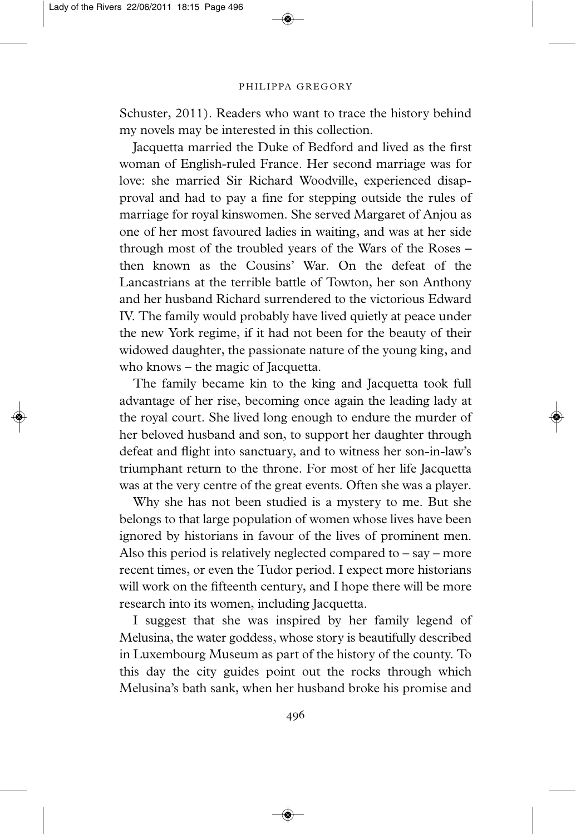## PHILIPPA GREGORY

Schuster, 2011). Readers who want to trace the history behind my novels may be interested in this collection.

Jacquetta married the Duke of Bedford and lived as the first woman of English-ruled France. Her second marriage was for love: she married Sir Richard Woodville, experienced disapproval and had to pay a fine for stepping outside the rules of marriage for royal kinswomen. She served Margaret of Anjou as one of her most favoured ladies in waiting, and was at her side through most of the troubled years of the Wars of the Roses – then known as the Cousins' War. On the defeat of the Lancastrians at the terrible battle of Towton, her son Anthony and her husband Richard surrendered to the victorious Edward IV. The family would probably have lived quietly at peace under the new York regime, if it had not been for the beauty of their widowed daughter, the passionate nature of the young king, and who knows – the magic of Jacquetta.

The family became kin to the king and Jacquetta took full advantage of her rise, becoming once again the leading lady at the royal court. She lived long enough to endure the murder of her beloved husband and son, to support her daughter through defeat and flight into sanctuary, and to witness her son-in-law's triumphant return to the throne. For most of her life Jacquetta was at the very centre of the great events. Often she was a player.

Why she has not been studied is a mystery to me. But she belongs to that large population of women whose lives have been ignored by historians in favour of the lives of prominent men. Also this period is relatively neglected compared to  $-$  say  $-$  more recent times, or even the Tudor period. I expect more historians will work on the fifteenth century, and I hope there will be more research into its women, including Jacquetta.

I suggest that she was inspired by her family legend of Melusina, the water goddess, whose story is beautifully described in Luxembourg Museum as part of the history of the county. To this day the city guides point out the rocks through which Melusina's bath sank, when her husband broke his promise and

496